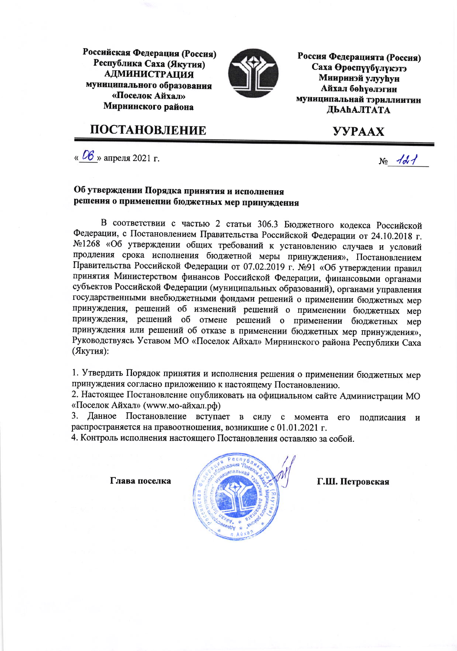Российская Федерация (Россия) Республика Саха (Якутия) **АДМИНИСТРАЦИЯ** муниципального образования «Поселок Айхал» Мирнинского района

ПОСТАНОВЛЕНИЕ



Россия Федерацията (Россия) Саха Өрөспүүбүлүкэтэ **Мииринэй улууһун Айхал бөһүөлэгин** муниципальнай тэриллиитин **ЛЬАНАЛТАТА** 

## **YYPAAX**

« $\overline{06}$ » апреля 2021 г.

#### Об утверждении Порядка принятия и исполнения решения о применении бюджетных мер принуждения

В соответствии с частью 2 статьи 306.3 Бюджетного кодекса Российской Федерации, с Постановлением Правительства Российской Федерации от 24.10.2018 г. №1268 «Об утверждении общих требований к установлению случаев и условий продления срока исполнения бюджетной меры принуждения», Постановлением Правительства Российской Федерации от 07.02.2019 г. №91 «Об утверждении правил принятия Министерством финансов Российской Федерации, финансовыми органами субъектов Российской Федерации (муниципальных образований), органами управления государственными внебюджетными фондами решений о применении бюджетных мер принуждения, решений об изменений решений о применении бюджетных мер принуждения, решений об отмене решений о применении бюджетных мер принуждения или решений об отказе в применении бюджетных мер принуждения», Руководствуясь Уставом МО «Поселок Айхал» Мирнинского района Республики Саха (Якутия):

1. Утвердить Порядок принятия и исполнения решения о применении бюджетных мер принуждения согласно приложению к настоящему Постановлению.

2. Настоящее Постановление опубликовать на официальном сайте Администрации МО «Поселок Айхал» (www.мо-айхал.pd)

3. Данное Постановление вступает в силу с момента его подписания и распространяется на правоотношения, возникшие с 01.01.2021 г.

4. Контроль исполнения настоящего Постановления оставляю за собой.

Глава поселка



Г.Ш. Петровская

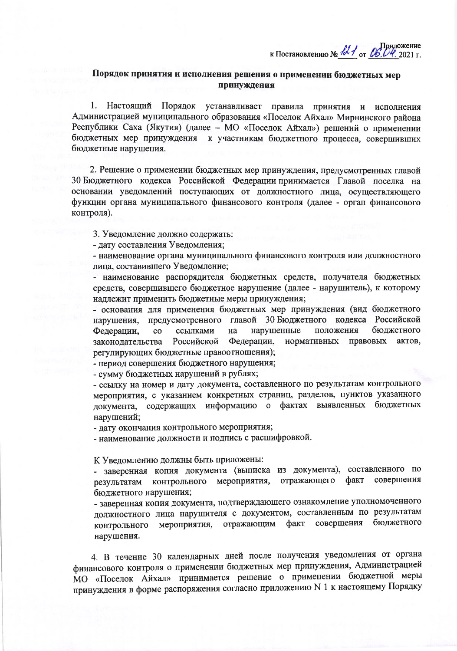к Постановлению №  $\frac{12}{100}$  от 06.04. 2021 г.

#### Порядок принятия и исполнения решения о применении бюджетных мер принуждения

1. Настоящий Порядок устанавливает правила принятия и исполнения Администрацией муниципального образования «Поселок Айхал» Мирнинского района Республики Саха (Якутия) (далее - МО «Поселок Айхал») решений о применении бюджетных мер принуждения к участникам бюджетного процесса, совершивших бюджетные нарушения.

2. Решение о применении бюджетных мер принуждения, предусмотренных главой 30 Бюджетного кодекса Российской Федерации принимается Главой поселка на основании уведомлений поступающих от должностного лица, осуществляющего функции органа муниципального финансового контроля (далее - орган финансового контроля).

3. Уведомление должно содержать:

- дату составления Уведомления;

- наименование органа муниципального финансового контроля или должностного лица, составившего Уведомление;

- наименование распорядителя бюджетных средств, получателя бюджетных средств, совершившего бюджетное нарушение (далее - нарушитель), к которому надлежит применить бюджетные меры принуждения;

- основания для применения бюджетных мер принуждения (вид бюджетного предусмотренного главой 30 Бюджетного кодекса Российской нарушения. ссылками нарушенные положения бюджетного Федерации,  $\overline{c}$ на Российской Федерации, нормативных правовых актов, законодательства регулирующих бюджетные правоотношения);

- период совершения бюджетного нарушения;

- сумму бюджетных нарушений в рублях;

- ссылку на номер и дату документа, составленного по результатам контрольного мероприятия, с указанием конкретных страниц, разделов, пунктов указанного документа, содержащих информацию о фактах выявленных бюджетных нарушений;

- дату окончания контрольного мероприятия;

- наименование должности и подпись с расшифровкой.

К Уведомлению должны быть приложены:

- заверенная копия документа (выписка из документа), составленного по контрольного мероприятия, совершения отражающего факт результатам бюджетного нарушения;

- заверенная копия документа, подтверждающего ознакомление уполномоченного должностного лица нарушителя с документом, составленным по результатам совершения бюджетного мероприятия, отражающим факт контрольного нарушения.

4. В течение 30 календарных дней после получения уведомления от органа финансового контроля о применении бюджетных мер принуждения, Администрацией МО «Поселок Айхал» принимается решение о применении бюджетной меры принуждения в форме распоряжения согласно приложению N 1 к настоящему Порядку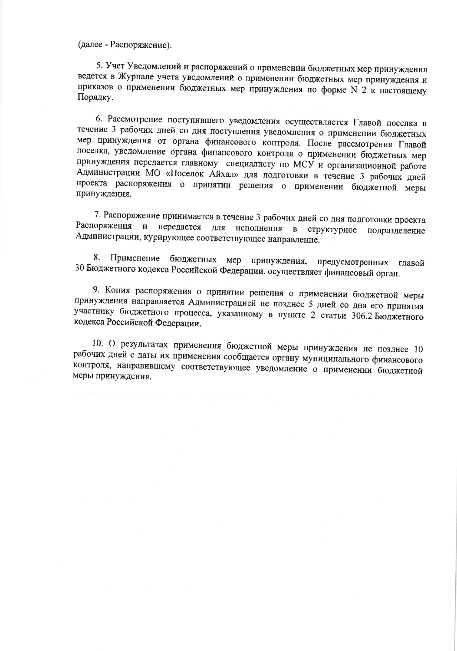(далее - Распоряжение).

5. Учет Уведомлений и распоряжений о применении бюджетных мер принуждения ведется в Журнале учета уведомлений о применении бюджетных мер принуждения и приказов о применении бюджетных мер принуждения по форме N 2 к настоящему Порядку.

6. Рассмотрение поступившего уведомления осуществляется Главой поселка в течение 3 рабочих дней со дня поступления уведомления о применении бюджетных мер принуждения от органа финансового контроля. После рассмотрения Главой поселка, уведомление органа финансового контроля о применении бюджетных мер принуждения передается главному специалисту по МСУ и организационной работе Администрации МО «Поселок Айхал» для подготовки в течение 3 рабочих дней проекта распоряжения о принятии решения о применении бюджетной меры принуждения.

7. Распоряжение принимается в течение 3 рабочих дней со дня подготовки проекта Распоряжения и передается для исполнения в структурное подразделение Администрации, курирующее соответствующее направление.

8. Применение бюджетных мер принуждения, предусмотренных главой 30 Бюджетного кодекса Российской Федерации, осуществляет финансовый орган.

9. Копия распоряжения о принятии решения о применении бюджетной меры принуждения направляется Администрацией не позднее 5 дней со дня его принятия участнику бюджетного процесса, указанному в пункте 2 статьи 306.2 Бюджетного кодекса Российской Федерации.

10. О результатах применения бюджетной меры принуждения не позднее 10 рабочих дней с даты их применения сообщается органу муниципального финансового контроля, направившему соответствующее уведомление о применении бюджетной меры принуждения.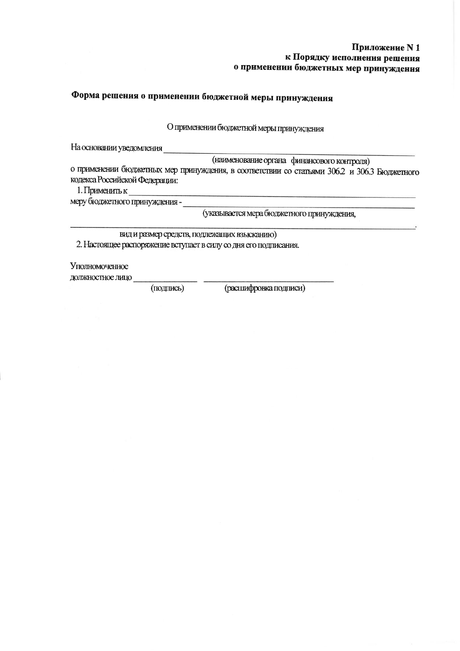#### Приложение N 1 к Порядку исполнения решения о применении бюджетных мер принуждения

# Форма решения о применении бюджетной меры принуждения

О применении бюджетной меры принуждения

На основании уведомления

(наименование органа финансового контроля)

о применении бюджетных мер принуждения, в соответствии со статьями 306.2 и 306.3 Бюджетного кодекса Российской Федерации:

1. Применить к

меру бюджетного принуждения -

(указывается мера бюджетного принуждения,

вид и размер средств, подлежащих взысканию) 2. Настоящее распоряжение вступает в силу со дня его подписания.

Уполномоченное

должностное лицо

(подпись)

(расшифровка подписи)